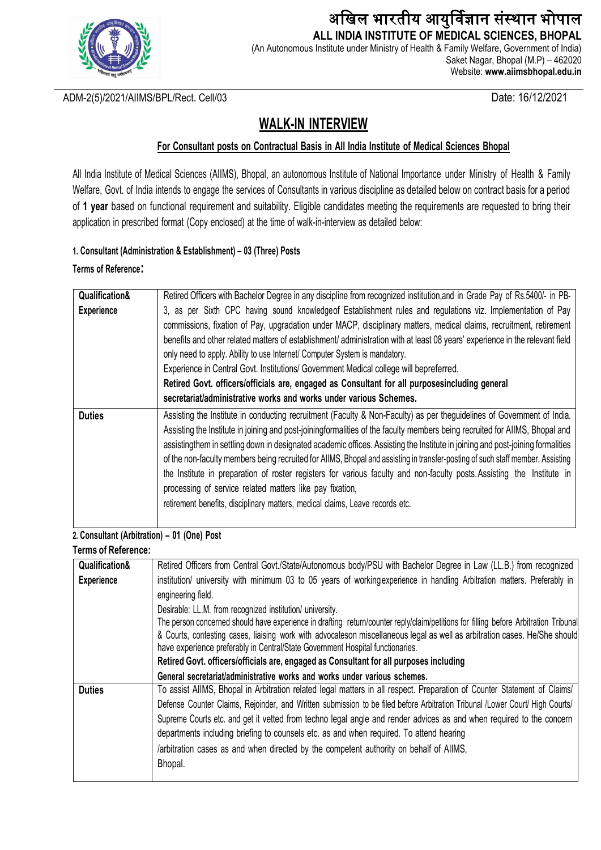

# अखिल भारतीय आयुर्विज्ञान संस्थान भोपाल **ALL INDIA INSTITUTE OF MEDICAL SCIENCES, BHOPAL**

(An Autonomous Institute under Ministry of Health & Family Welfare, Government of India) Saket Nagar, Bhopal (M.P) – 462020 Website: **www.aiimsbhopal.edu.in**

ADM-2(5)/2021/AIIMS/BPL/Rect. Cell/03 Date: 16/12/2021

# **WALK-IN INTERVIEW**

### **For Consultant posts on Contractual Basis in All India Institute of Medical Sciences Bhopal**

All India Institute of Medical Sciences (AIIMS), Bhopal, an autonomous Institute of National Importance under Ministry of Health & Family Welfare, Govt. of India intends to engage the services of Consultants in various discipline as detailed below on contract basis for a period of **1 year** based on functional requirement and suitability. Eligible candidates meeting the requirements are requested to bring their application in prescribed format (Copy enclosed) at the time of walk-in-interview as detailed below:

#### **1. Consultant (Administration & Establishment) – 03 (Three) Posts**

**Terms of Reference:**

| Qualification&    | Retired Officers with Bachelor Degree in any discipline from recognized institution, and in Grade Pay of Rs.5400/- in PB-      |
|-------------------|--------------------------------------------------------------------------------------------------------------------------------|
| <b>Experience</b> | 3, as per Sixth CPC having sound knowledge of Establishment rules and regulations viz. Implementation of Pay                   |
|                   | commissions, fixation of Pay, upgradation under MACP, disciplinary matters, medical claims, recruitment, retirement            |
|                   | benefits and other related matters of establishment/ administration with at least 08 years' experience in the relevant field   |
|                   | only need to apply. Ability to use Internet/ Computer System is mandatory.                                                     |
|                   | Experience in Central Govt. Institutions/ Government Medical college will bepreferred.                                         |
|                   | Retired Govt. officers/officials are, engaged as Consultant for all purposesincluding general                                  |
|                   | secretariat/administrative works and works under various Schemes.                                                              |
| <b>Duties</b>     | Assisting the Institute in conducting recruitment (Faculty & Non-Faculty) as per theguidelines of Government of India.         |
|                   | Assisting the Institute in joining and post-joiningformalities of the faculty members being recruited for AIIMS, Bhopal and    |
|                   | assistingthem in settling down in designated academic offices. Assisting the Institute in joining and post-joining formalities |
|                   | of the non-faculty members being recruited for AIIMS, Bhopal and assisting in transfer-posting of such staff member. Assisting |
|                   | the Institute in preparation of roster registers for various faculty and non-faculty posts. Assisting the Institute in         |
|                   | processing of service related matters like pay fixation,                                                                       |
|                   | retirement benefits, disciplinary matters, medical claims, Leave records etc.                                                  |
|                   |                                                                                                                                |

### **2. Consultant (Arbitration) – 01 (One) Post**

| Terms of Reference: |                                                                                                                                                                                                                                                                                                                                                                                                                                                                                                                                                                                  |
|---------------------|----------------------------------------------------------------------------------------------------------------------------------------------------------------------------------------------------------------------------------------------------------------------------------------------------------------------------------------------------------------------------------------------------------------------------------------------------------------------------------------------------------------------------------------------------------------------------------|
| Qualification&      | Retired Officers from Central Govt./State/Autonomous body/PSU with Bachelor Degree in Law (LL.B.) from recognized                                                                                                                                                                                                                                                                                                                                                                                                                                                                |
| <b>Experience</b>   | institution/ university with minimum 03 to 05 years of working experience in handling Arbitration matters. Preferably in<br>engineering field.                                                                                                                                                                                                                                                                                                                                                                                                                                   |
|                     | Desirable: LL.M. from recognized institution/ university.<br>The person concerned should have experience in drafting return/counter reply/claim/petitions for filling before Arbitration Tribunal<br>& Courts, contesting cases, liaising work with advocateson miscellaneous legal as well as arbitration cases. He/She should<br>have experience preferably in Central/State Government Hospital functionaries.<br>Retired Govt. officers/officials are, engaged as Consultant for all purposes including                                                                      |
|                     | General secretariat/administrative works and works under various schemes.                                                                                                                                                                                                                                                                                                                                                                                                                                                                                                        |
| <b>Duties</b>       | To assist AllMS, Bhopal in Arbitration related legal matters in all respect. Preparation of Counter Statement of Claims/<br>Defense Counter Claims, Rejoinder, and Written submission to be filed before Arbitration Tribunal /Lower Court/ High Courts/<br>Supreme Courts etc. and get it vetted from techno legal angle and render advices as and when required to the concern<br>departments including briefing to counsels etc. as and when required. To attend hearing<br>/arbitration cases as and when directed by the competent authority on behalf of AlIMS,<br>Bhopal. |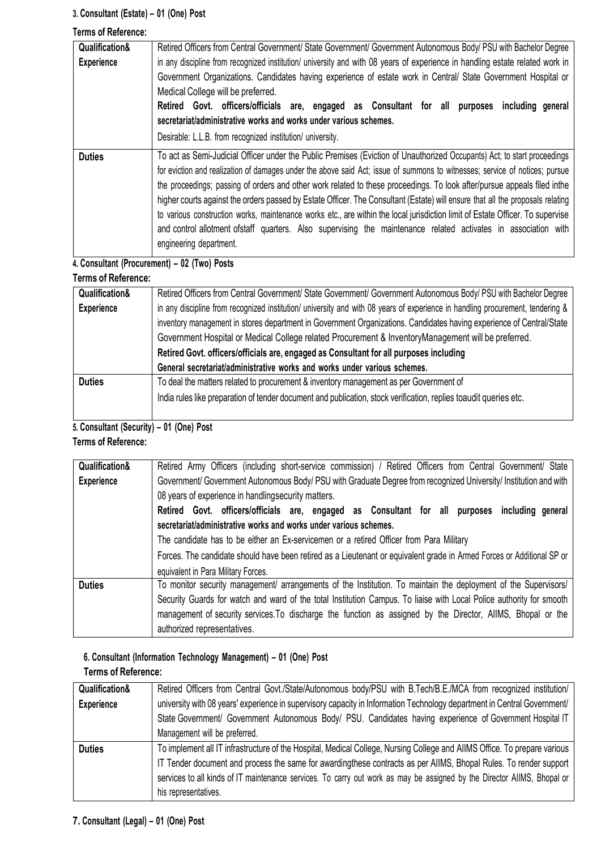# **3. Consultant (Estate) – 01 (One) Post**

**Terms of Reference:**

| Qualification&                                                                                                                                    | Retired Officers from Central Government/ State Government/ Government Autonomous Body/ PSU with Bachelor Degree               |
|---------------------------------------------------------------------------------------------------------------------------------------------------|--------------------------------------------------------------------------------------------------------------------------------|
| in any discipline from recognized institution/ university and with 08 years of experience in handling estate related work in<br><b>Experience</b> |                                                                                                                                |
|                                                                                                                                                   | Government Organizations. Candidates having experience of estate work in Central/ State Government Hospital or                 |
|                                                                                                                                                   | Medical College will be preferred.                                                                                             |
|                                                                                                                                                   | Retired Govt. officers/officials are, engaged as Consultant for all<br>purposes<br>including general                           |
|                                                                                                                                                   | secretariat/administrative works and works under various schemes.                                                              |
|                                                                                                                                                   | Desirable: L.L.B. from recognized institution/ university.                                                                     |
| <b>Duties</b>                                                                                                                                     | To act as Semi-Judicial Officer under the Public Premises (Eviction of Unauthorized Occupants) Act; to start proceedings       |
|                                                                                                                                                   | for eviction and realization of damages under the above said Act; issue of summons to witnesses; service of notices; pursue    |
|                                                                                                                                                   | the proceedings; passing of orders and other work related to these proceedings. To look after/pursue appeals filed inthe       |
|                                                                                                                                                   | higher courts against the orders passed by Estate Officer. The Consultant (Estate) will ensure that all the proposals relating |
|                                                                                                                                                   | to various construction works, maintenance works etc., are within the local jurisdiction limit of Estate Officer. To supervise |
|                                                                                                                                                   | and control allotment ofstaff quarters. Also supervising the maintenance related activates in association with                 |
|                                                                                                                                                   | engineering department.                                                                                                        |
|                                                                                                                                                   |                                                                                                                                |

# **4. Consultant (Procurement) – 02 (Two) Posts**

# **Terms of Reference:**

| Qualification&    | Retired Officers from Central Government/ State Government/ Government Autonomous Body/ PSU with Bachelor Degree               |
|-------------------|--------------------------------------------------------------------------------------------------------------------------------|
| <b>Experience</b> | in any discipline from recognized institution/ university and with 08 years of experience in handling procurement, tendering & |
|                   | inventory management in stores department in Government Organizations. Candidates having experience of Central/State           |
|                   | Government Hospital or Medical College related Procurement & InventoryManagement will be preferred.                            |
|                   | Retired Govt. officers/officials are, engaged as Consultant for all purposes including                                         |
|                   | General secretariat/administrative works and works under various schemes.                                                      |
| <b>Duties</b>     | To deal the matters related to procurement & inventory management as per Government of                                         |
|                   | India rules like preparation of tender document and publication, stock verification, replies toaudit queries etc.              |
|                   |                                                                                                                                |

# **5. Consultant (Security) – 01 (One) Post**

## **Terms of Reference:**

| Qualification&    | Retired Army Officers (including short-service commission) / Retired Officers from Central Government/ State                                                             |  |
|-------------------|--------------------------------------------------------------------------------------------------------------------------------------------------------------------------|--|
| <b>Experience</b> | Government/ Government Autonomous Body/ PSU with Graduate Degree from recognized University/ Institution and with<br>08 years of experience in handlingsecurity matters. |  |
|                   |                                                                                                                                                                          |  |
|                   | Retired Govt. officers/officials are, engaged as Consultant for all purposes<br>including general                                                                        |  |
|                   | secretariat/administrative works and works under various schemes.                                                                                                        |  |
|                   | The candidate has to be either an Ex-servicemen or a retired Officer from Para Military                                                                                  |  |
|                   | Forces. The candidate should have been retired as a Lieutenant or equivalent grade in Armed Forces or Additional SP or                                                   |  |
|                   | equivalent in Para Military Forces.                                                                                                                                      |  |
| <b>Duties</b>     | To monitor security management/ arrangements of the Institution. To maintain the deployment of the Supervisors/                                                          |  |
|                   | Security Guards for watch and ward of the total Institution Campus. To liaise with Local Police authority for smooth                                                     |  |
|                   | management of security services. To discharge the function as assigned by the Director, AIIMS, Bhopal or the                                                             |  |
|                   | authorized representatives.                                                                                                                                              |  |

# **6. Consultant (Information Technology Management) – 01 (One) Post**

## **Terms of Reference:**

| Qualification& | Retired Officers from Central Govt./State/Autonomous body/PSU with B.Tech/B.E./MCA from recognized institution/           |
|----------------|---------------------------------------------------------------------------------------------------------------------------|
| Experience     | university with 08 years' experience in supervisory capacity in Information Technology department in Central Government/  |
|                | State Government/ Government Autonomous Body/ PSU. Candidates having experience of Government Hospital IT                 |
|                | Management will be preferred.                                                                                             |
| <b>Duties</b>  | To implement all IT infrastructure of the Hospital, Medical College, Nursing College and AIIMS Office. To prepare various |
|                | IT Tender document and process the same for awardingthese contracts as per AIIMS, Bhopal Rules. To render support         |
|                | services to all kinds of IT maintenance services. To carry out work as may be assigned by the Director AlIMS, Bhopal or   |
|                | his representatives.                                                                                                      |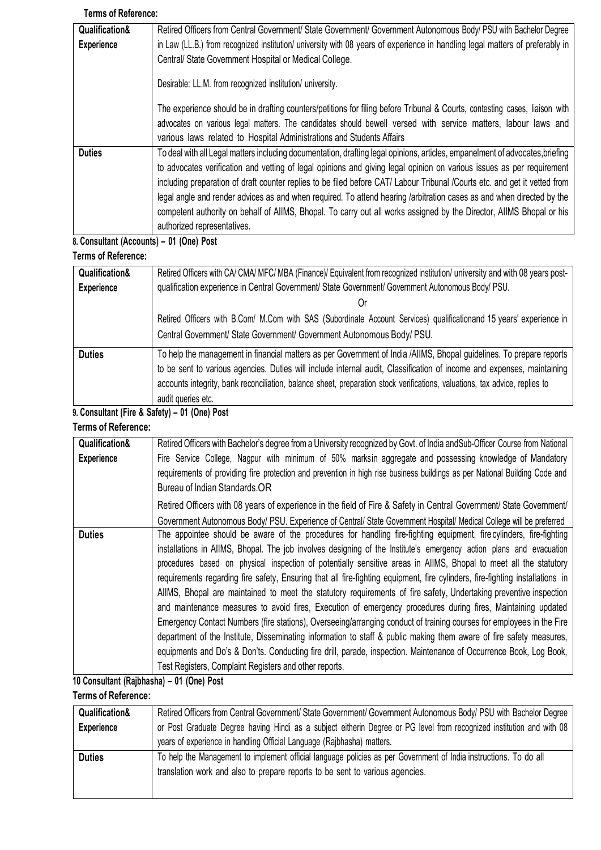#### **Terms of Reference:**

| פווווט טו ולפופופווטפ |                                                                                                                               |
|-----------------------|-------------------------------------------------------------------------------------------------------------------------------|
| Qualification&        | Retired Officers from Central Government/ State Government/ Government Autonomous Body/ PSU with Bachelor Degree              |
| <b>Experience</b>     | in Law (LL.B.) from recognized institution/ university with 08 years of experience in handling legal matters of preferably in |
|                       | Central/ State Government Hospital or Medical College.                                                                        |
|                       | Desirable: LL.M. from recognized institution/ university.                                                                     |
|                       | The experience should be in drafting counters/petitions for filing before Tribunal & Courts, contesting cases, liaison with   |
|                       | advocates on various legal matters. The candidates should bewell versed with service matters, labour laws and                 |
|                       | various laws related to Hospital Administrations and Students Affairs                                                         |
| <b>Duties</b>         | To deal with all Legal matters including documentation, drafting legal opinions, articles, empanelment of advocates, briefing |
|                       | to advocates verification and vetting of legal opinions and giving legal opinion on various issues as per requirement         |
|                       | including preparation of draft counter replies to be filed before CAT/ Labour Tribunal /Courts etc. and get it vetted from    |
|                       | legal angle and render advices as and when required. To attend hearing /arbitration cases as and when directed by the         |
|                       | competent authority on behalf of AIIMS, Bhopal. To carry out all works assigned by the Director, AIIMS Bhopal or his          |
|                       | authorized representatives.                                                                                                   |

## **8. Consultant (Accounts) – 01 (One) Post**

## **Terms of Reference:**

| Qualification& | Retired Officers with CA/CMA/MFC/MBA (Finance)/ Equivalent from recognized institution/ university and with 08 years post-  |
|----------------|-----------------------------------------------------------------------------------------------------------------------------|
| Experience     | qualification experience in Central Government/ State Government/ Government Autonomous Body/ PSU.                          |
|                |                                                                                                                             |
|                | Retired Officers with B.Com/ M.Com with SAS (Subordinate Account Services) qualificationand 15 years' experience in         |
|                | Central Government/ State Government/ Government Autonomous Body/ PSU.                                                      |
| <b>Duties</b>  | To help the management in financial matters as per Government of India /AIIMS, Bhopal guidelines. To prepare reports        |
|                | to be sent to various agencies. Duties will include internal audit, Classification of income and expenses, maintaining      |
|                | accounts integrity, bank reconciliation, balance sheet, preparation stock verifications, valuations, tax advice, replies to |
|                | audit queries etc.                                                                                                          |

### **9. Consultant (Fire & Safety) – 01 (One) Post**

#### **Terms of Reference:**

| Qualification&    | Retired Officers with Bachelor's degree from a University recognized by Govt. of India and Sub-Officer Course from National   |
|-------------------|-------------------------------------------------------------------------------------------------------------------------------|
| <b>Experience</b> | Fire Service College, Nagpur with minimum of 50% marksin aggregate and possessing knowledge of Mandatory                      |
|                   | requirements of providing fire protection and prevention in high rise business buildings as per National Building Code and    |
|                   | Bureau of Indian Standards.OR                                                                                                 |
|                   | Retired Officers with 08 years of experience in the field of Fire & Safety in Central Government/ State Government/           |
|                   | Government Autonomous Body/ PSU. Experience of Central/ State Government Hospital/ Medical College will be preferred          |
| <b>Duties</b>     | The appointee should be aware of the procedures for handling fire-fighting equipment, fire cylinders, fire-fighting           |
|                   | installations in AIIMS, Bhopal. The job involves designing of the Institute's emergency action plans and evacuation           |
|                   | procedures based on physical inspection of potentially sensitive areas in AIIMS, Bhopal to meet all the statutory             |
|                   | requirements regarding fire safety, Ensuring that all fire-fighting equipment, fire cylinders, fire-fighting installations in |
|                   | AIIMS, Bhopal are maintained to meet the statutory requirements of fire safety, Undertaking preventive inspection             |
|                   | and maintenance measures to avoid fires, Execution of emergency procedures during fires, Maintaining updated                  |
|                   | Emergency Contact Numbers (fire stations), Overseeing/arranging conduct of training courses for employees in the Fire         |
|                   | department of the Institute, Disseminating information to staff & public making them aware of fire safety measures,           |
|                   | equipments and Do's & Don'ts. Conducting fire drill, parade, inspection. Maintenance of Occurrence Book, Log Book,            |
|                   | Test Registers, Complaint Registers and other reports.                                                                        |

# **10 Consultant (Rajbhasha) – 01 (One) Post**

#### **Terms of Reference: Qualification& Experience** Retired Officers from Central Government/ State Government/ Government Autonomous Body/ PSU with Bachelor Degree or Post Graduate Degree having Hindi as a subject eitherin Degree or PG level from recognized institution and with 08 years of experience in handling Official Language (Rajbhasha) matters. **Duties** To help the Management to implement official language policies as per Government of India instructions. To do all translation work and also to prepare reports to be sent to various agencies.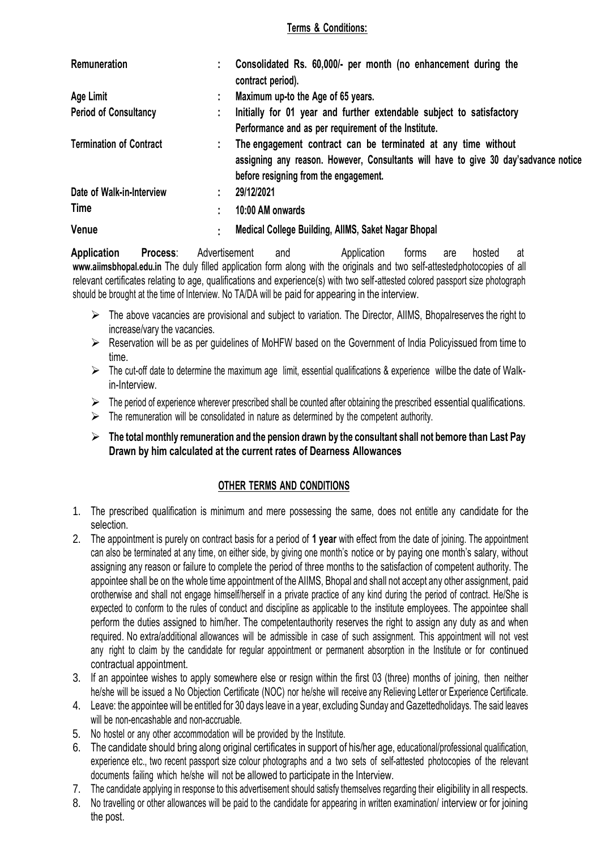#### **Terms & Conditions:**

| Remuneration                   | Consolidated Rs. 60,000/- per month (no enhancement during the<br>contract period).                                                                                                            |
|--------------------------------|------------------------------------------------------------------------------------------------------------------------------------------------------------------------------------------------|
| Age Limit                      | Maximum up-to the Age of 65 years.                                                                                                                                                             |
| <b>Period of Consultancy</b>   | Initially for 01 year and further extendable subject to satisfactory<br>Performance and as per requirement of the Institute.                                                                   |
| <b>Termination of Contract</b> | The engagement contract can be terminated at any time without<br>assigning any reason. However, Consultants will have to give 30 day's advance notice<br>before resigning from the engagement. |
| Date of Walk-in-Interview      | 29/12/2021<br>÷                                                                                                                                                                                |
| Time                           | 10:00 AM onwards                                                                                                                                                                               |
| Venue                          | Medical College Building, AllMS, Saket Nagar Bhopal                                                                                                                                            |

**Application Process**: Advertisement and Application forms are hosted at **[www.aiimsbhopal.edu.in](http://www.aiimsbhopal.edu.in/)** The duly filled application form along with the originals and two self-attestedphotocopies of all relevant certificates relating to age, qualifications and experience(s) with two self-attested colored passport size photograph should be brought at the time of Interview. No TA/DA will be paid for appearing in the interview.

- $\triangleright$  The above vacancies are provisional and subject to variation. The Director, AIIMS, Bhopalreserves the right to increase/vary the vacancies.
- $\triangleright$  Reservation will be as per guidelines of MoHFW based on the Government of India Policyissued from time to time.
- $\triangleright$  The cut-off date to determine the maximum age limit, essential qualifications & experience willbe the date of Walkin-Interview.
- $\triangleright$  The period of experience wherever prescribed shall be counted after obtaining the prescribed essential qualifications.
- $\triangleright$  The remuneration will be consolidated in nature as determined by the competent authority.

#### **The total monthly remuneration and the pension drawn by the consultant shall not bemore than Last Pay Drawn by him calculated at the current rates of Dearness Allowances**

### **OTHER TERMS AND CONDITIONS**

- 1. The prescribed qualification is minimum and mere possessing the same, does not entitle any candidate for the selection.
- 2. The appointment is purely on contract basis for a period of **1 year** with effect from the date of joining. The appointment can also be terminated at any time, on either side, by giving one month's notice or by paying one month's salary, without assigning any reason or failure to complete the period of three months to the satisfaction of competent authority. The appointee shall be on the whole time appointment of the AIIMS, Bhopal and shall not accept any other assignment, paid orotherwise and shall not engage himself/herself in a private practice of any kind during the period of contract. He/She is expected to conform to the rules of conduct and discipline as applicable to the institute employees. The appointee shall perform the duties assigned to him/her. The competentauthority reserves the right to assign any duty as and when required. No extra/additional allowances will be admissible in case of such assignment. This appointment will not vest any right to claim by the candidate for regular appointment or permanent absorption in the Institute or for continued contractual appointment.
- 3. If an appointee wishes to apply somewhere else or resign within the first 03 (three) months of joining, then neither he/she will be issued a No Objection Certificate (NOC) nor he/she will receive any Relieving Letter or Experience Certificate.
- 4. Leave: the appointee will be entitled for 30 days leave in a year, excluding Sunday and Gazettedholidays. The said leaves will be non-encashable and non-accruable.
- 5. No hostel or any other accommodation will be provided by the Institute.
- 6. The candidate should bring along original certificates in support of his/her age, educational/professional qualification, experience etc., two recent passport size colour photographs and a two sets of self-attested photocopies of the relevant documents failing which he/she will not be allowed to participate in the Interview.
- 7. The candidate applying in response to this advertisement should satisfy themselves regarding their eligibility in all respects.
- 8. No travelling or other allowances will be paid to the candidate for appearing in written examination/ interview or for joining the post.